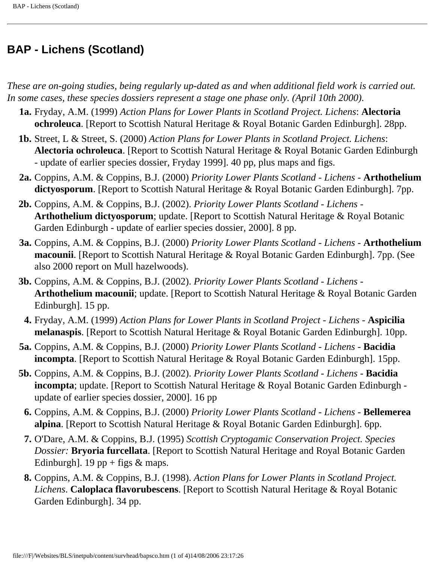## **BAP - Lichens (Scotland)**

*These are on-going studies, being regularly up-dated as and when additional field work is carried out. In some cases, these species dossiers represent a stage one phase only. (April 10th 2000).*

- **1a.** Fryday, A.M. (1999) *Action Plans for Lower Plants in Scotland Project. Lichens*: **Alectoria ochroleuca**. [Report to Scottish Natural Heritage & Royal Botanic Garden Edinburgh]. 28pp.
- **1b.** Street, L & Street, S. (2000) *Action Plans for Lower Plants in Scotland Project. Lichens*: **Alectoria ochroleuca**. [Report to Scottish Natural Heritage & Royal Botanic Garden Edinburgh - update of earlier species dossier, Fryday 1999]. 40 pp, plus maps and figs.
- **2a.** Coppins, A.M. & Coppins, B.J. (2000) *Priority Lower Plants Scotland Lichens* **Arthothelium dictyosporum**. [Report to Scottish Natural Heritage & Royal Botanic Garden Edinburgh]. 7pp.
- **2b.** Coppins, A.M. & Coppins, B.J. (2002). *Priority Lower Plants Scotland Lichens* **Arthothelium dictyosporum**; update. [Report to Scottish Natural Heritage & Royal Botanic Garden Edinburgh - update of earlier species dossier, 2000]. 8 pp.
- **3a.** Coppins, A.M. & Coppins, B.J. (2000) *Priority Lower Plants Scotland Lichens* **Arthothelium macounii**. [Report to Scottish Natural Heritage & Royal Botanic Garden Edinburgh]. 7pp. (See also 2000 report on Mull hazelwoods).
- **3b.** Coppins, A.M. & Coppins, B.J. (2002). *Priority Lower Plants Scotland Lichens* **Arthothelium macounii**; update. [Report to Scottish Natural Heritage & Royal Botanic Garden Edinburgh]. 15 pp.
- **4.** Fryday, A.M. (1999) *Action Plans for Lower Plants in Scotland Project Lichens* **Aspicilia melanaspis**. [Report to Scottish Natural Heritage & Royal Botanic Garden Edinburgh]. 10pp.
- **5a.** Coppins, A.M. & Coppins, B.J. (2000) *Priority Lower Plants Scotland Lichens* **Bacidia incompta**. [Report to Scottish Natural Heritage & Royal Botanic Garden Edinburgh]. 15pp.
- **5b.** Coppins, A.M. & Coppins, B.J. (2002). *Priority Lower Plants Scotland Lichens* **Bacidia incompta**; update. [Report to Scottish Natural Heritage & Royal Botanic Garden Edinburgh update of earlier species dossier, 2000]. 16 pp
	- **6.** Coppins, A.M. & Coppins, B.J. (2000) *Priority Lower Plants Scotland Lichens* **Bellemerea alpina**. [Report to Scottish Natural Heritage & Royal Botanic Garden Edinburgh]. 6pp.
	- **7.** O'Dare, A.M. & Coppins, B.J. (1995) *Scottish Cryptogamic Conservation Project. Species Dossier:* **Bryoria furcellata**. [Report to Scottish Natural Heritage and Royal Botanic Garden Edinburgh]. 19 pp + figs  $&$  maps.
	- **8.** Coppins, A.M. & Coppins, B.J. (1998). *Action Plans for Lower Plants in Scotland Project. Lichens*. **Caloplaca flavorubescens**. [Report to Scottish Natural Heritage & Royal Botanic Garden Edinburgh]. 34 pp.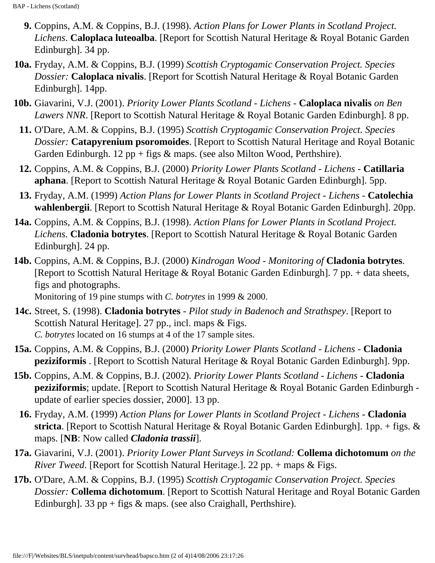- **9.** Coppins, A.M. & Coppins, B.J. (1998). *Action Plans for Lower Plants in Scotland Project. Lichens*. **Caloplaca luteoalba**. [Report for Scottish Natural Heritage & Royal Botanic Garden Edinburgh]. 34 pp.
- **10a.** Fryday, A.M. & Coppins, B.J. (1999) *Scottish Cryptogamic Conservation Project. Species Dossier:* **Caloplaca nivalis**. [Report for Scottish Natural Heritage & Royal Botanic Garden Edinburgh]. 14pp.
- **10b.** Giavarini, V.J. (2001). *Priority Lower Plants Scotland Lichens* **Caloplaca nivalis** *on Ben Lawers NNR*. [Report to Scottish Natural Heritage & Royal Botanic Garden Edinburgh]. 8 pp.
	- **11.** O'Dare, A.M. & Coppins, B.J. (1995) *Scottish Cryptogamic Conservation Project. Species Dossier:* **Catapyrenium psoromoides**. [Report to Scottish Natural Heritage and Royal Botanic Garden Edinburgh. 12 pp + figs & maps. (see also Milton Wood, Perthshire).
	- **12.** Coppins, A.M. & Coppins, B.J. (2000) *Priority Lower Plants Scotland Lichens* **Catillaria aphana**. [Report to Scottish Natural Heritage & Royal Botanic Garden Edinburgh]. 5pp.
	- **13.** Fryday, A.M. (1999) *Action Plans for Lower Plants in Scotland Project Lichens* **Catolechia wahlenbergii**. [Report to Scottish Natural Heritage & Royal Botanic Garden Edinburgh]. 20pp.
- **14a.** Coppins, A.M. & Coppins, B.J. (1998). *Action Plans for Lower Plants in Scotland Project. Lichens*. **Cladonia botrytes**. [Report to Scottish Natural Heritage & Royal Botanic Garden Edinburgh]. 24 pp.
- **14b.** Coppins, A.M. & Coppins, B.J. (2000) *Kindrogan Wood Monitoring of* **Cladonia botrytes**. [Report to Scottish Natural Heritage & Royal Botanic Garden Edinburgh]. 7 pp. + data sheets, figs and photographs. Monitoring of 19 pine stumps with *C. botrytes* in 1999 & 2000.
- **14c.** Street, S. (1998). **Cladonia botrytes** *Pilot study in Badenoch and Strathspey*. [Report to Scottish Natural Heritage]. 27 pp., incl. maps & Figs. *C. botrytes* located on 16 stumps at 4 of the 17 sample sites.
- **15a.** Coppins, A.M. & Coppins, B.J. (2000) *Priority Lower Plants Scotland Lichens* **Cladonia peziziformis** . [Report to Scottish Natural Heritage & Royal Botanic Garden Edinburgh]. 9pp.
- **15b.** Coppins, A.M. & Coppins, B.J. (2002). *Priority Lower Plants Scotland Lichens* **Cladonia peziziformis**; update. [Report to Scottish Natural Heritage & Royal Botanic Garden Edinburgh update of earlier species dossier, 2000]. 13 pp.
- **16.** Fryday, A.M. (1999) *Action Plans for Lower Plants in Scotland Project Lichens* **Cladonia stricta**. [Report to Scottish Natural Heritage & Royal Botanic Garden Edinburgh]. 1pp. + figs. & maps. [**NB**: Now called *Cladonia trassii*].
- **17a.** Giavarini, V.J. (2001). *Priority Lower Plant Surveys in Scotland:* **Collema dichotomum** *on the River Tweed*. [Report for Scottish Natural Heritage.]. 22 pp. + maps & Figs.
- **17b.** O'Dare, A.M. & Coppins, B.J. (1995) *Scottish Cryptogamic Conservation Project. Species Dossier:* **Collema dichotomum**. [Report to Scottish Natural Heritage and Royal Botanic Garden Edinburgh]. 33 pp + figs & maps. (see also Craighall, Perthshire).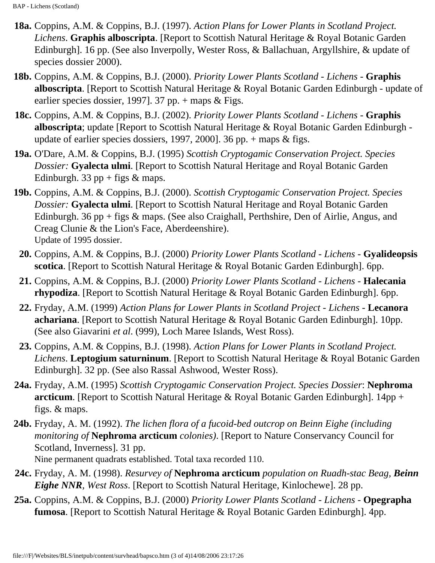- **18a.** Coppins, A.M. & Coppins, B.J. (1997). *Action Plans for Lower Plants in Scotland Project. Lichens*. **Graphis alboscripta**. [Report to Scottish Natural Heritage & Royal Botanic Garden Edinburgh]. 16 pp. (See also Inverpolly, Wester Ross, & Ballachuan, Argyllshire, & update of species dossier 2000).
- **18b.** Coppins, A.M. & Coppins, B.J. (2000). *Priority Lower Plants Scotland Lichens -* **Graphis alboscripta**. [Report to Scottish Natural Heritage & Royal Botanic Garden Edinburgh - update of earlier species dossier, 1997]. 37 pp.  $+$  maps  $&$  Figs.
- **18c.** Coppins, A.M. & Coppins, B.J. (2002). *Priority Lower Plants Scotland Lichens -* **Graphis alboscripta**; update [Report to Scottish Natural Heritage & Royal Botanic Garden Edinburgh update of earlier species dossiers, 1997, 2000]. 36 pp. + maps & figs.
- **19a.** O'Dare, A.M. & Coppins, B.J. (1995) *Scottish Cryptogamic Conservation Project. Species Dossier:* **Gyalecta ulmi**. [Report to Scottish Natural Heritage and Royal Botanic Garden Edinburgh. 33 pp + figs  $&$  maps.
- **19b.** Coppins, A.M. & Coppins, B.J. (2000). *Scottish Cryptogamic Conservation Project. Species Dossier:* **Gyalecta ulmi**. [Report to Scottish Natural Heritage and Royal Botanic Garden Edinburgh. 36 pp + figs & maps. (See also Craighall, Perthshire, Den of Airlie, Angus, and Creag Clunie & the Lion's Face, Aberdeenshire). Update of 1995 dossier.
	- **20.** Coppins, A.M. & Coppins, B.J. (2000) *Priority Lower Plants Scotland Lichens* **Gyalideopsis scotica**. [Report to Scottish Natural Heritage & Royal Botanic Garden Edinburgh]. 6pp.
	- **21.** Coppins, A.M. & Coppins, B.J. (2000) *Priority Lower Plants Scotland Lichens* **Halecania rhypodiza**. [Report to Scottish Natural Heritage & Royal Botanic Garden Edinburgh]. 6pp.
	- **22.** Fryday, A.M. (1999) *Action Plans for Lower Plants in Scotland Project Lichens* **Lecanora achariana**. [Report to Scottish Natural Heritage & Royal Botanic Garden Edinburgh]. 10pp. (See also Giavarini *et al*. (999), Loch Maree Islands, West Ross).
	- **23.** Coppins, A.M. & Coppins, B.J. (1998). *Action Plans for Lower Plants in Scotland Project. Lichens*. **Leptogium saturninum**. [Report to Scottish Natural Heritage & Royal Botanic Garden Edinburgh]. 32 pp. (See also Rassal Ashwood, Wester Ross).
- **24a.** Fryday, A.M. (1995) *Scottish Cryptogamic Conservation Project. Species Dossier*: **Nephroma arcticum**. [Report to Scottish Natural Heritage & Royal Botanic Garden Edinburgh]. 14pp + figs. & maps.
- **24b.** Fryday, A. M. (1992). *The lichen flora of a fucoid-bed outcrop on Beinn Eighe (including monitoring of* **Nephroma arcticum** *colonies)*. [Report to Nature Conservancy Council for Scotland, Inverness]. 31 pp. Nine permanent quadrats established. Total taxa recorded 110.
- **24c.** Fryday, A. M. (1998). *Resurvey of* **Nephroma arcticum** *population on Ruadh-stac Beag, Beinn Eighe NNR, West Ross*. [Report to Scottish Natural Heritage, Kinlochewe]. 28 pp.
- **25a.** Coppins, A.M. & Coppins, B.J. (2000) *Priority Lower Plants Scotland Lichens* **Opegrapha fumosa**. [Report to Scottish Natural Heritage & Royal Botanic Garden Edinburgh]. 4pp.